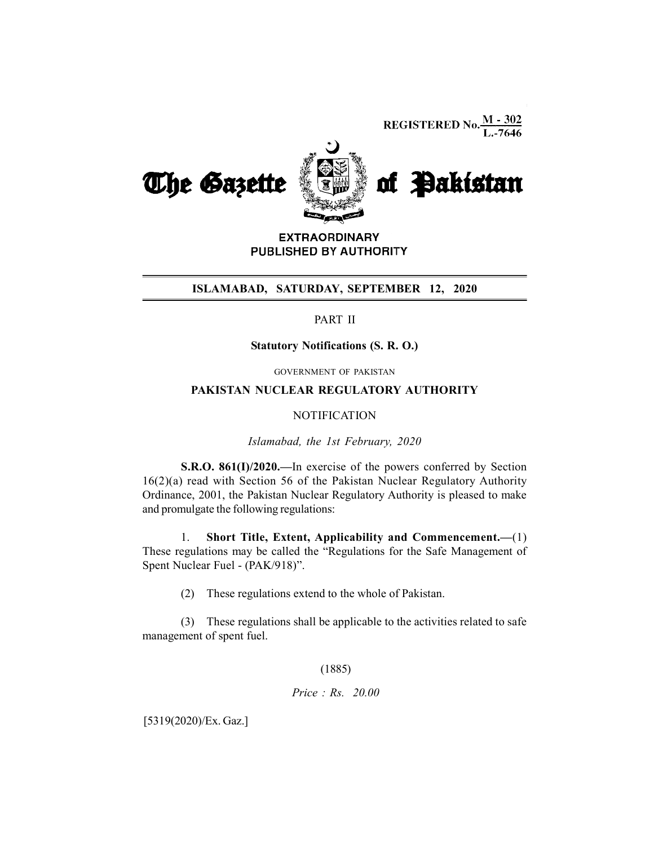**REGISTERED No.**  $\frac{M - 302}{L - 7646}$ 



**EXTRAORDINARY** PUBLISHED BY AUTHORITY

## ISLAMABAD, SATURDAY, SEPTEMBER 12, 2020

# PART II

#### Statutory Notifications (S. R. O.)

#### GOVERNMENT OF PAKISTAN

### PAKISTAN NUCLEAR REGULATORY AUTHORITY

#### **NOTIFICATION**

Islamabad, the 1st February, 2020

S.R.O. 861(I)/2020.—In exercise of the powers conferred by Section 16(2)(a) read with Section 56 of the Pakistan Nuclear Regulatory Authority Ordinance, 2001, the Pakistan Nuclear Regulatory Authority is pleased to make and promulgate the following regulations:

1. Short Title, Extent, Applicability and Commencement.—(1) These regulations may be called the "Regulations for the Safe Management of Spent Nuclear Fuel - (PAK/918)".

(2) These regulations extend to the whole of Pakistan.

(3) These regulations shall be applicable to the activities related to safe management of spent fuel.

## (1885)

Price : Rs. 20.00

[5319(2020)/Ex. Gaz.]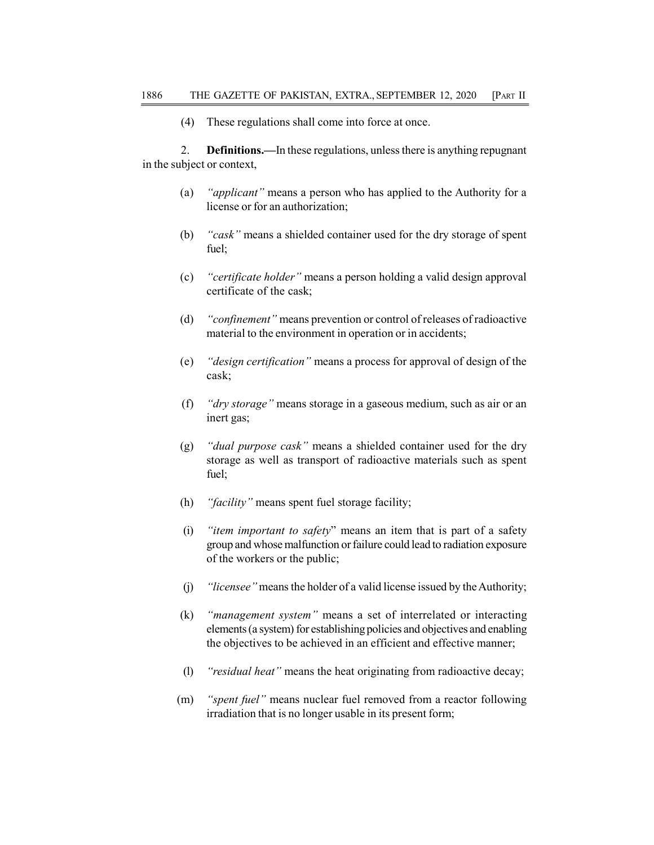(4) These regulations shall come into force at once.

2. Definitions.—In these regulations, unless there is anything repugnant in the subject or context,

- (a) "applicant" means a person who has applied to the Authority for a license or for an authorization;
- (b) "cask" means a shielded container used for the dry storage of spent fuel;
- (c) "certificate holder" means a person holding a valid design approval certificate of the cask;
- (d) "confinement" means prevention or control of releases of radioactive material to the environment in operation or in accidents;
- (e) "design certification" means a process for approval of design of the cask;
- (f) "dry storage" means storage in a gaseous medium, such as air or an inert gas;
- (g) "dual purpose cask" means a shielded container used for the dry storage as well as transport of radioactive materials such as spent fuel;
- (h) "facility" means spent fuel storage facility;
- (i) "item important to safety" means an item that is part of a safety group and whose malfunction or failure could lead to radiation exposure of the workers or the public;
- (j) "licensee" means the holder of a valid license issued by the Authority;
- (k) "management system" means a set of interrelated or interacting elements (a system) for establishing policies and objectives and enabling the objectives to be achieved in an efficient and effective manner;
- (l) "residual heat" means the heat originating from radioactive decay;
- (m) "spent fuel" means nuclear fuel removed from a reactor following irradiation that is no longer usable in its present form;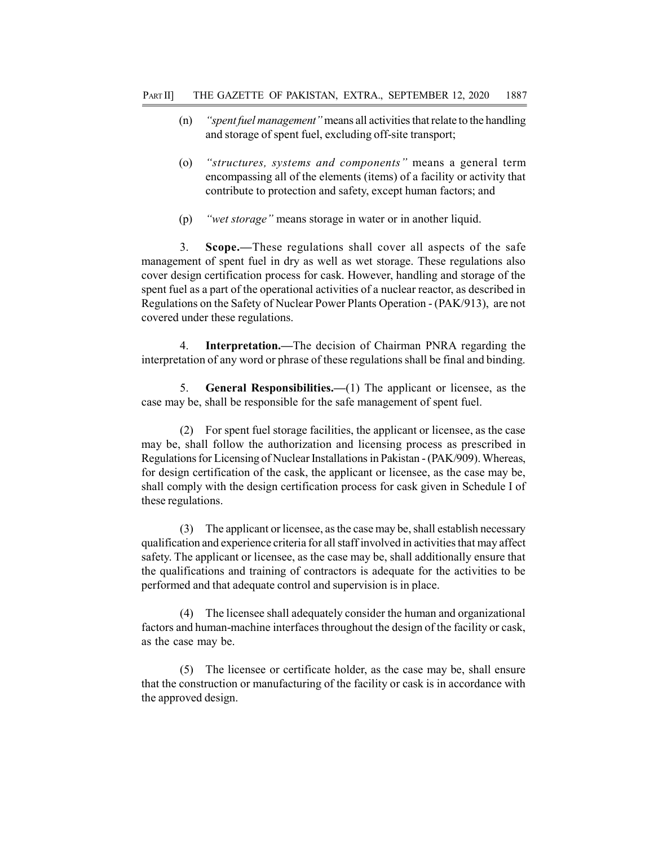- (n) "spent fuel management" means all activities that relate to the handling and storage of spent fuel, excluding off-site transport;
- (o) "structures, systems and components" means a general term encompassing all of the elements (items) of a facility or activity that contribute to protection and safety, except human factors; and
- (p) "wet storage" means storage in water or in another liquid.

3. Scope.—These regulations shall cover all aspects of the safe management of spent fuel in dry as well as wet storage. These regulations also cover design certification process for cask. However, handling and storage of the spent fuel as a part of the operational activities of a nuclear reactor, as described in Regulations on the Safety of Nuclear Power Plants Operation - (PAK/913), are not covered under these regulations.

4. Interpretation.—The decision of Chairman PNRA regarding the interpretation of any word or phrase of these regulations shall be final and binding.

5. General Responsibilities.—(1) The applicant or licensee, as the case may be, shall be responsible for the safe management of spent fuel.

(2) For spent fuel storage facilities, the applicant or licensee, as the case may be, shall follow the authorization and licensing process as prescribed in Regulations for Licensing of Nuclear Installations in Pakistan - (PAK/909). Whereas, for design certification of the cask, the applicant or licensee, as the case may be, shall comply with the design certification process for cask given in Schedule I of these regulations.

(3) The applicant or licensee, as the case may be, shall establish necessary qualification and experience criteria for all staff involved in activities that may affect safety. The applicant or licensee, as the case may be, shall additionally ensure that the qualifications and training of contractors is adequate for the activities to be performed and that adequate control and supervision is in place.

(4) The licensee shall adequately consider the human and organizational factors and human-machine interfaces throughout the design of the facility or cask, as the case may be.

(5) The licensee or certificate holder, as the case may be, shall ensure that the construction or manufacturing of the facility or cask is in accordance with the approved design.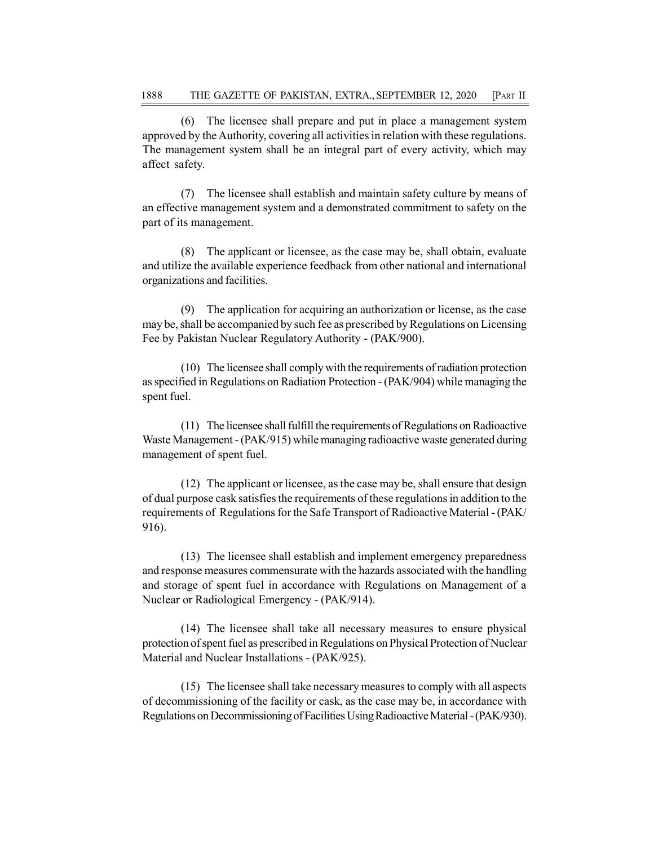(6) The licensee shall prepare and put in place a management system approved by the Authority, covering all activities in relation with these regulations. The management system shall be an integral part of every activity, which may affect safety.

(7) The licensee shall establish and maintain safety culture by means of an effective management system and a demonstrated commitment to safety on the part of its management.

(8) The applicant or licensee, as the case may be, shall obtain, evaluate and utilize the available experience feedback from other national and international organizations and facilities.

(9) The application for acquiring an authorization or license, as the case may be, shall be accompanied by such fee as prescribed by Regulations on Licensing Fee by Pakistan Nuclear Regulatory Authority - (PAK/900).

(10) The licensee shall comply with the requirements of radiation protection as specified in Regulations on Radiation Protection - (PAK/904) while managing the spent fuel.

(11) The licensee shall fulfill the requirements of Regulations on Radioactive Waste Management - (PAK/915) while managing radioactive waste generated during management of spent fuel.

(12) The applicant or licensee, as the case may be, shall ensure that design of dual purpose cask satisfies the requirements of these regulations in addition to the requirements of Regulations for the Safe Transport of Radioactive Material - (PAK/ 916).

(13) The licensee shall establish and implement emergency preparedness and response measures commensurate with the hazards associated with the handling and storage of spent fuel in accordance with Regulations on Management of a Nuclear or Radiological Emergency - (PAK/914).

(14) The licensee shall take all necessary measures to ensure physical protection of spent fuel as prescribed in Regulations on Physical Protection of Nuclear Material and Nuclear Installations - (PAK/925).

(15) The licensee shall take necessary measures to comply with all aspects of decommissioning of the facility or cask, as the case may be, in accordance with Regulations on Decommissioning of Facilities Using Radioactive Material - (PAK/930).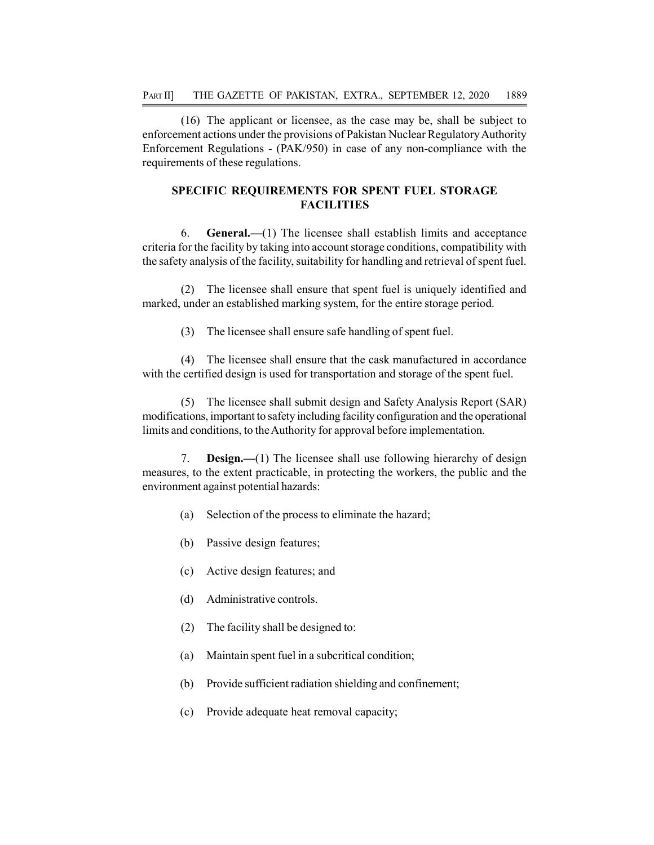(16) The applicant or licensee, as the case may be, shall be subject to enforcement actions under the provisions of Pakistan Nuclear Regulatory Authority Enforcement Regulations - (PAK/950) in case of any non-compliance with the requirements of these regulations.

## SPECIFIC REQUIREMENTS FOR SPENT FUEL STORAGE **FACILITIES**

6. General.—(1) The licensee shall establish limits and acceptance criteria for the facility by taking into account storage conditions, compatibility with the safety analysis of the facility, suitability for handling and retrieval of spent fuel.

(2) The licensee shall ensure that spent fuel is uniquely identified and marked, under an established marking system, for the entire storage period.

(3) The licensee shall ensure safe handling of spent fuel.

(4) The licensee shall ensure that the cask manufactured in accordance with the certified design is used for transportation and storage of the spent fuel.

(5) The licensee shall submit design and Safety Analysis Report (SAR) modifications, important to safety including facility configuration and the operational limits and conditions, to the Authority for approval before implementation.

7. Design.—(1) The licensee shall use following hierarchy of design measures, to the extent practicable, in protecting the workers, the public and the environment against potential hazards:

- (a) Selection of the process to eliminate the hazard;
- (b) Passive design features;
- (c) Active design features; and
- (d) Administrative controls.
- (2) The facility shall be designed to:
- (a) Maintain spent fuel in a subcritical condition;
- (b) Provide sufficient radiation shielding and confinement;
- (c) Provide adequate heat removal capacity;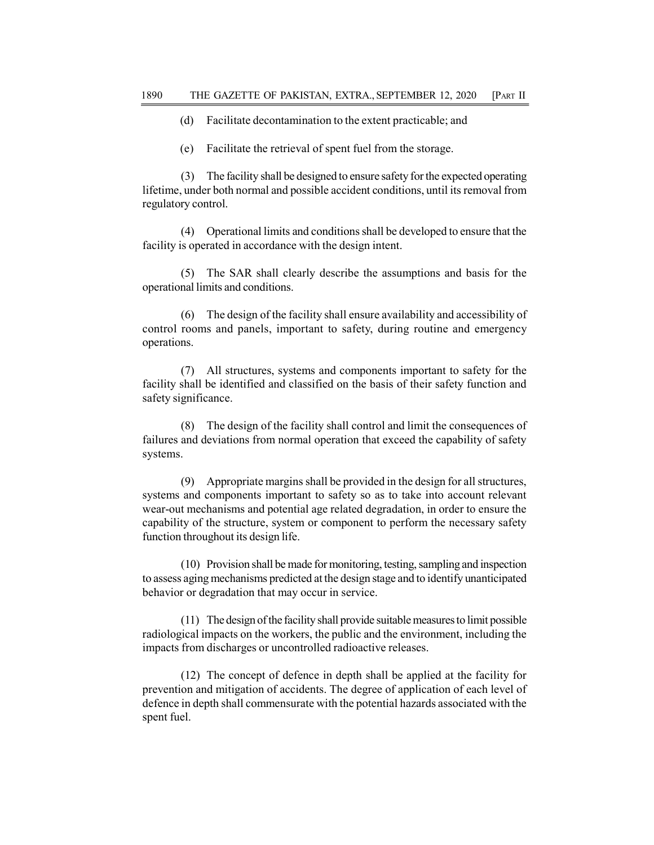- (d) Facilitate decontamination to the extent practicable; and
- (e) Facilitate the retrieval of spent fuel from the storage.

(3) The facility shall be designed to ensure safety for the expected operating lifetime, under both normal and possible accident conditions, until its removal from regulatory control.

(4) Operational limits and conditions shall be developed to ensure that the facility is operated in accordance with the design intent.

(5) The SAR shall clearly describe the assumptions and basis for the operational limits and conditions.

(6) The design of the facility shall ensure availability and accessibility of control rooms and panels, important to safety, during routine and emergency operations.

(7) All structures, systems and components important to safety for the facility shall be identified and classified on the basis of their safety function and safety significance.

(8) The design of the facility shall control and limit the consequences of failures and deviations from normal operation that exceed the capability of safety systems.

(9) Appropriate margins shall be provided in the design for all structures, systems and components important to safety so as to take into account relevant wear-out mechanisms and potential age related degradation, in order to ensure the capability of the structure, system or component to perform the necessary safety function throughout its design life.

(10) Provision shall be made for monitoring, testing, sampling and inspection to assess aging mechanisms predicted at the design stage and to identify unanticipated behavior or degradation that may occur in service.

(11) The design of the facility shall provide suitable measures to limit possible radiological impacts on the workers, the public and the environment, including the impacts from discharges or uncontrolled radioactive releases.

(12) The concept of defence in depth shall be applied at the facility for prevention and mitigation of accidents. The degree of application of each level of defence in depth shall commensurate with the potential hazards associated with the spent fuel.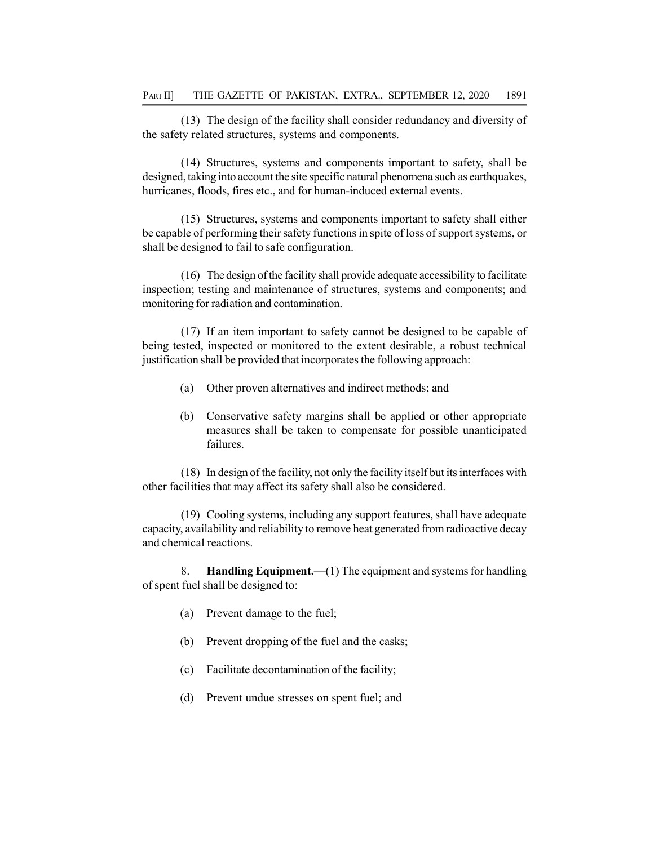(13) The design of the facility shall consider redundancy and diversity of the safety related structures, systems and components.

(14) Structures, systems and components important to safety, shall be designed, taking into account the site specific natural phenomena such as earthquakes, hurricanes, floods, fires etc., and for human-induced external events.

(15) Structures, systems and components important to safety shall either be capable of performing their safety functions in spite of loss of support systems, or shall be designed to fail to safe configuration.

(16) The design of the facility shall provide adequate accessibility to facilitate inspection; testing and maintenance of structures, systems and components; and monitoring for radiation and contamination.

(17) If an item important to safety cannot be designed to be capable of being tested, inspected or monitored to the extent desirable, a robust technical justification shall be provided that incorporates the following approach:

- (a) Other proven alternatives and indirect methods; and
- (b) Conservative safety margins shall be applied or other appropriate measures shall be taken to compensate for possible unanticipated failures.

(18) In design of the facility, not only the facility itself but its interfaces with other facilities that may affect its safety shall also be considered.

(19) Cooling systems, including any support features, shall have adequate capacity, availability and reliability to remove heat generated from radioactive decay and chemical reactions.

8. Handling Equipment.—(1) The equipment and systems for handling of spent fuel shall be designed to:

- (a) Prevent damage to the fuel;
- (b) Prevent dropping of the fuel and the casks;
- (c) Facilitate decontamination of the facility;
- (d) Prevent undue stresses on spent fuel; and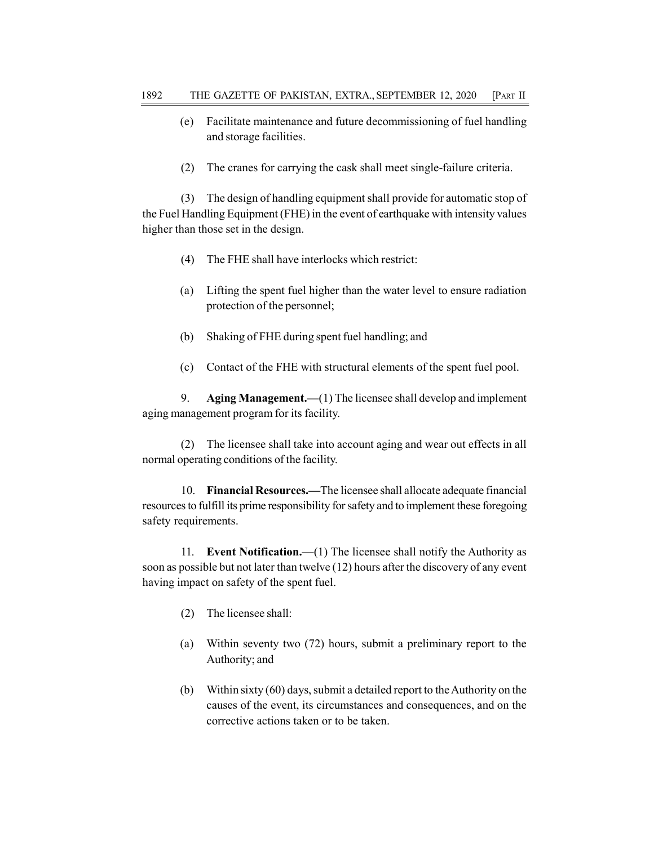- (e) Facilitate maintenance and future decommissioning of fuel handling and storage facilities.
- (2) The cranes for carrying the cask shall meet single-failure criteria.

(3) The design of handling equipment shall provide for automatic stop of the Fuel Handling Equipment (FHE) in the event of earthquake with intensity values higher than those set in the design.

- (4) The FHE shall have interlocks which restrict:
- (a) Lifting the spent fuel higher than the water level to ensure radiation protection of the personnel;
- (b) Shaking of FHE during spent fuel handling; and
- (c) Contact of the FHE with structural elements of the spent fuel pool.

9. Aging Management.—(1) The licensee shall develop and implement aging management program for its facility.

(2) The licensee shall take into account aging and wear out effects in all normal operating conditions of the facility.

10. Financial Resources.—The licensee shall allocate adequate financial resources to fulfill its prime responsibility for safety and to implement these foregoing safety requirements.

11. Event Notification.—(1) The licensee shall notify the Authority as soon as possible but not later than twelve (12) hours after the discovery of any event having impact on safety of the spent fuel.

- (2) The licensee shall:
- (a) Within seventy two (72) hours, submit a preliminary report to the Authority; and
- (b) Within sixty (60) days, submit a detailed report to the Authority on the causes of the event, its circumstances and consequences, and on the corrective actions taken or to be taken.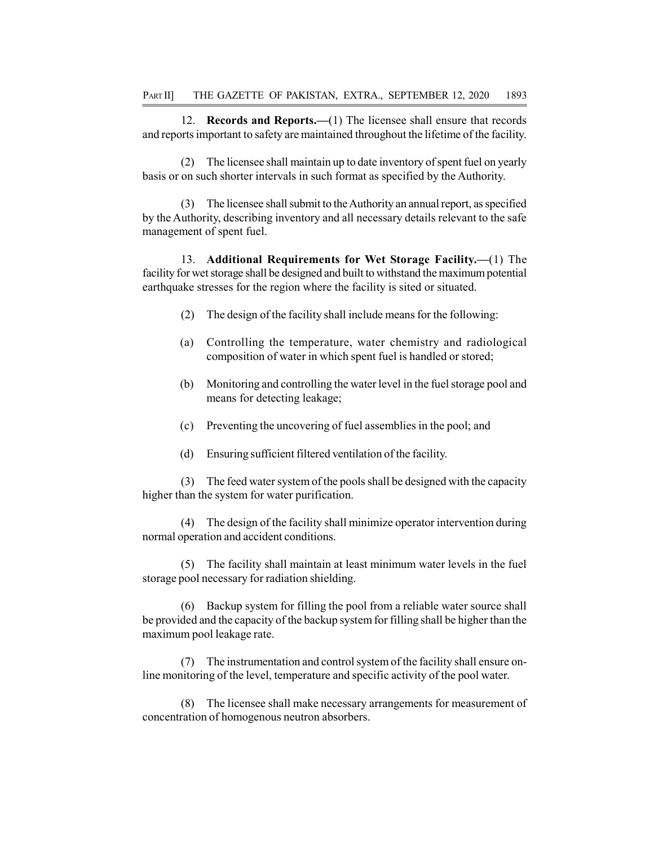12. Records and Reports.—(1) The licensee shall ensure that records and reports important to safety are maintained throughout the lifetime of the facility.

(2) The licensee shall maintain up to date inventory of spent fuel on yearly basis or on such shorter intervals in such format as specified by the Authority.

(3) The licensee shall submit to the Authority an annual report, as specified by the Authority, describing inventory and all necessary details relevant to the safe management of spent fuel.

13. Additional Requirements for Wet Storage Facility.—(1) The facility for wet storage shall be designed and built to withstand the maximum potential earthquake stresses for the region where the facility is sited or situated.

- (2) The design of the facility shall include means for the following:
- (a) Controlling the temperature, water chemistry and radiological composition of water in which spent fuel is handled or stored;
- (b) Monitoring and controlling the water level in the fuel storage pool and means for detecting leakage;
- (c) Preventing the uncovering of fuel assemblies in the pool; and
- (d) Ensuring sufficient filtered ventilation of the facility.

(3) The feed water system of the pools shall be designed with the capacity higher than the system for water purification.

(4) The design of the facility shall minimize operator intervention during normal operation and accident conditions.

(5) The facility shall maintain at least minimum water levels in the fuel storage pool necessary for radiation shielding.

(6) Backup system for filling the pool from a reliable water source shall be provided and the capacity of the backup system for filling shall be higher than the maximum pool leakage rate.

(7) The instrumentation and control system of the facility shall ensure online monitoring of the level, temperature and specific activity of the pool water.

(8) The licensee shall make necessary arrangements for measurement of concentration of homogenous neutron absorbers.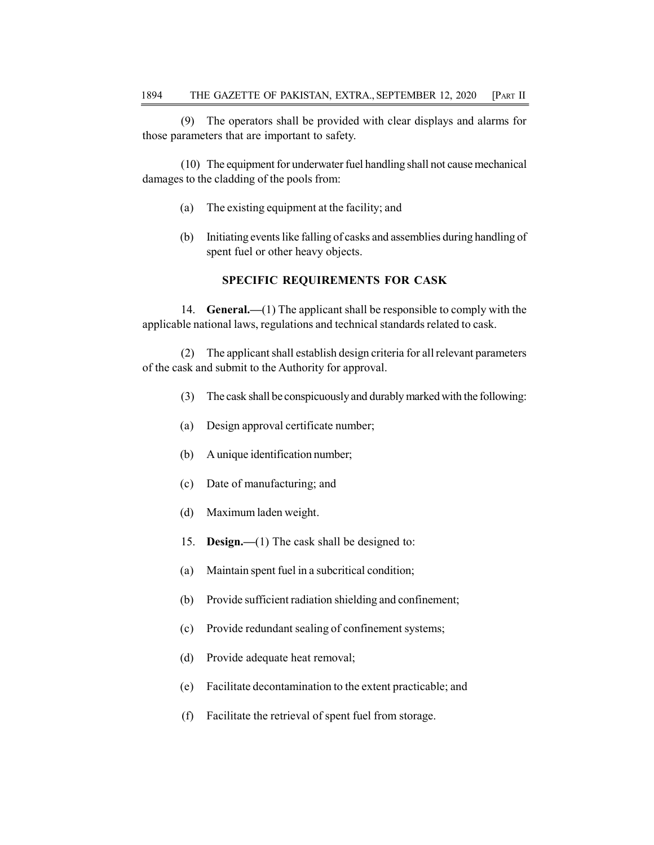(9) The operators shall be provided with clear displays and alarms for those parameters that are important to safety.

(10) The equipment for underwater fuel handling shall not cause mechanical damages to the cladding of the pools from:

- (a) The existing equipment at the facility; and
- (b) Initiating events like falling of casks and assemblies during handling of spent fuel or other heavy objects.

#### SPECIFIC REQUIREMENTS FOR CASK

14. General.—(1) The applicant shall be responsible to comply with the applicable national laws, regulations and technical standards related to cask.

(2) The applicant shall establish design criteria for all relevant parameters of the cask and submit to the Authority for approval.

- (3) The cask shall be conspicuously and durably marked with the following:
- (a) Design approval certificate number;
- (b) A unique identification number;
- (c) Date of manufacturing; and
- (d) Maximum laden weight.
- 15. Design.—(1) The cask shall be designed to:
- (a) Maintain spent fuel in a subcritical condition;
- (b) Provide sufficient radiation shielding and confinement;
- (c) Provide redundant sealing of confinement systems;
- (d) Provide adequate heat removal;
- (e) Facilitate decontamination to the extent practicable; and
- (f) Facilitate the retrieval of spent fuel from storage.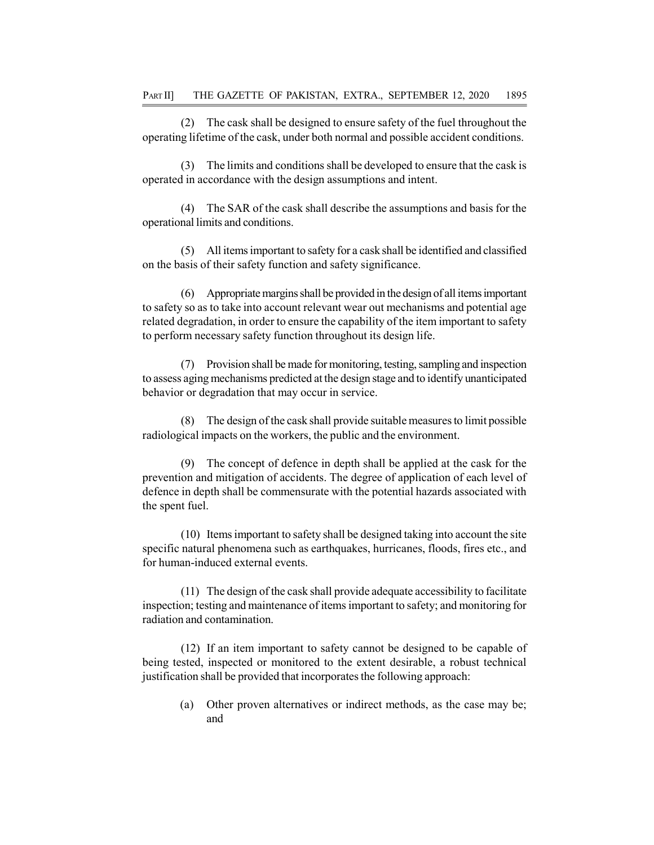(2) The cask shall be designed to ensure safety of the fuel throughout the operating lifetime of the cask, under both normal and possible accident conditions.

(3) The limits and conditions shall be developed to ensure that the cask is operated in accordance with the design assumptions and intent.

(4) The SAR of the cask shall describe the assumptions and basis for the operational limits and conditions.

(5) All items important to safety for a cask shall be identified and classified on the basis of their safety function and safety significance.

(6) Appropriate margins shall be provided in the design of all items important to safety so as to take into account relevant wear out mechanisms and potential age related degradation, in order to ensure the capability of the item important to safety to perform necessary safety function throughout its design life.

(7) Provision shall be made for monitoring, testing, sampling and inspection to assess aging mechanisms predicted at the design stage and to identify unanticipated behavior or degradation that may occur in service.

(8) The design of the cask shall provide suitable measures to limit possible radiological impacts on the workers, the public and the environment.

(9) The concept of defence in depth shall be applied at the cask for the prevention and mitigation of accidents. The degree of application of each level of defence in depth shall be commensurate with the potential hazards associated with the spent fuel.

(10) Items important to safety shall be designed taking into account the site specific natural phenomena such as earthquakes, hurricanes, floods, fires etc., and for human-induced external events.

(11) The design of the cask shall provide adequate accessibility to facilitate inspection; testing and maintenance of items important to safety; and monitoring for radiation and contamination.

(12) If an item important to safety cannot be designed to be capable of being tested, inspected or monitored to the extent desirable, a robust technical justification shall be provided that incorporates the following approach:

(a) Other proven alternatives or indirect methods, as the case may be; and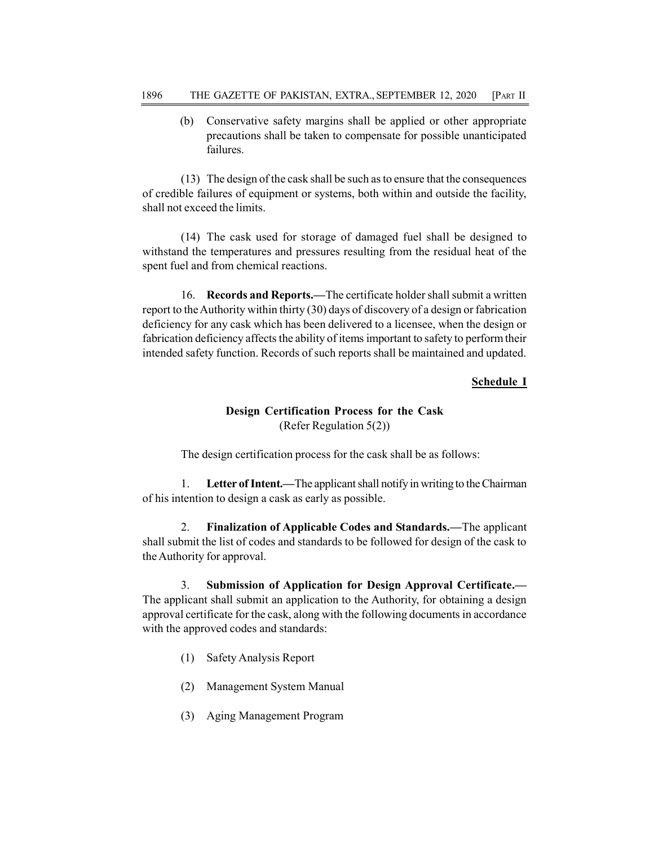(b) Conservative safety margins shall be applied or other appropriate precautions shall be taken to compensate for possible unanticipated failures.

(13) The design of the cask shall be such as to ensure that the consequences of credible failures of equipment or systems, both within and outside the facility, shall not exceed the limits.

(14) The cask used for storage of damaged fuel shall be designed to withstand the temperatures and pressures resulting from the residual heat of the spent fuel and from chemical reactions.

16. Records and Reports.—The certificate holder shall submit a written report to the Authority within thirty (30) days of discovery of a design or fabrication deficiency for any cask which has been delivered to a licensee, when the design or fabrication deficiency affects the ability of items important to safety to perform their intended safety function. Records of such reports shall be maintained and updated.

### Schedule I

# Design Certification Process for the Cask (Refer Regulation 5(2))

The design certification process for the cask shall be as follows:

1. Letter of Intent.—The applicant shall notify in writing to the Chairman of his intention to design a cask as early as possible.

2. Finalization of Applicable Codes and Standards.—The applicant shall submit the list of codes and standards to be followed for design of the cask to the Authority for approval.

3. Submission of Application for Design Approval Certificate.— The applicant shall submit an application to the Authority, for obtaining a design approval certificate for the cask, along with the following documents in accordance with the approved codes and standards:

- (1) Safety Analysis Report
- (2) Management System Manual
- (3) Aging Management Program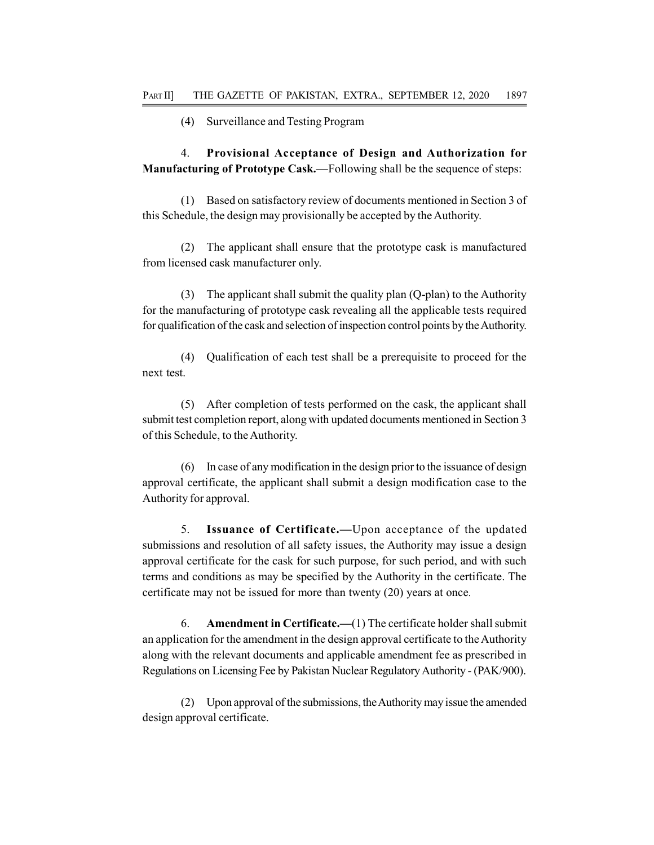(4) Surveillance and Testing Program

4. Provisional Acceptance of Design and Authorization for Manufacturing of Prototype Cask.—Following shall be the sequence of steps:

(1) Based on satisfactory review of documents mentioned in Section 3 of this Schedule, the design may provisionally be accepted by the Authority.

(2) The applicant shall ensure that the prototype cask is manufactured from licensed cask manufacturer only.

(3) The applicant shall submit the quality plan (Q-plan) to the Authority for the manufacturing of prototype cask revealing all the applicable tests required for qualification of the cask and selection of inspection control points by the Authority.

(4) Qualification of each test shall be a prerequisite to proceed for the next test.

(5) After completion of tests performed on the cask, the applicant shall submit test completion report, along with updated documents mentioned in Section 3 of this Schedule, to the Authority.

(6) In case of any modification in the design prior to the issuance of design approval certificate, the applicant shall submit a design modification case to the Authority for approval.

5. Issuance of Certificate.—Upon acceptance of the updated submissions and resolution of all safety issues, the Authority may issue a design approval certificate for the cask for such purpose, for such period, and with such terms and conditions as may be specified by the Authority in the certificate. The certificate may not be issued for more than twenty (20) years at once.

6. Amendment in Certificate.—(1) The certificate holder shall submit an application for the amendment in the design approval certificate to the Authority along with the relevant documents and applicable amendment fee as prescribed in Regulations on Licensing Fee by Pakistan Nuclear Regulatory Authority - (PAK/900).

(2) Upon approval of the submissions, the Authority may issue the amended design approval certificate.